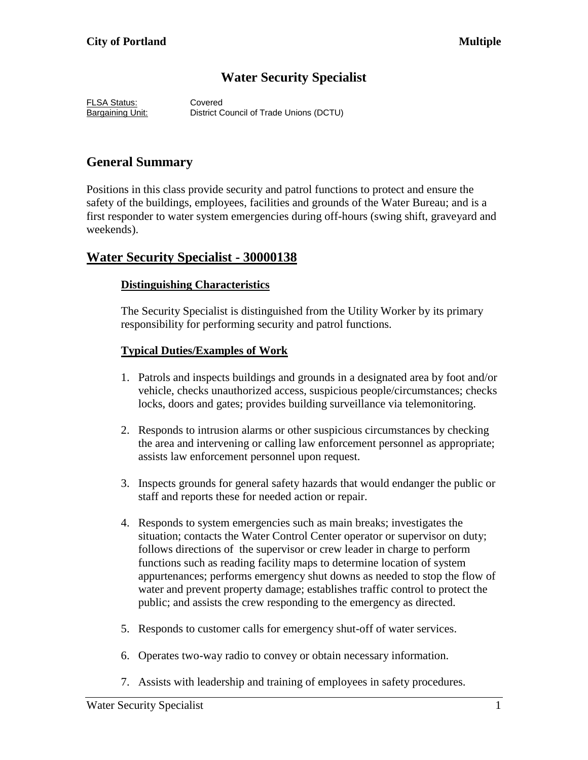# **Water Security Specialist**

FLSA Status: Covered Bargaining Unit: District Council of Trade Unions (DCTU)

# **General Summary**

Positions in this class provide security and patrol functions to protect and ensure the safety of the buildings, employees, facilities and grounds of the Water Bureau; and is a first responder to water system emergencies during off-hours (swing shift, graveyard and weekends).

## **Water Security Specialist - 30000138**

### **Distinguishing Characteristics**

The Security Specialist is distinguished from the Utility Worker by its primary responsibility for performing security and patrol functions.

### **Typical Duties/Examples of Work**

- 1. Patrols and inspects buildings and grounds in a designated area by foot and/or vehicle, checks unauthorized access, suspicious people/circumstances; checks locks, doors and gates; provides building surveillance via telemonitoring.
- 2. Responds to intrusion alarms or other suspicious circumstances by checking the area and intervening or calling law enforcement personnel as appropriate; assists law enforcement personnel upon request.
- 3. Inspects grounds for general safety hazards that would endanger the public or staff and reports these for needed action or repair.
- 4. Responds to system emergencies such as main breaks; investigates the situation; contacts the Water Control Center operator or supervisor on duty; follows directions of the supervisor or crew leader in charge to perform functions such as reading facility maps to determine location of system appurtenances; performs emergency shut downs as needed to stop the flow of water and prevent property damage; establishes traffic control to protect the public; and assists the crew responding to the emergency as directed.
- 5. Responds to customer calls for emergency shut-off of water services.
- 6. Operates two-way radio to convey or obtain necessary information.
- 7. Assists with leadership and training of employees in safety procedures.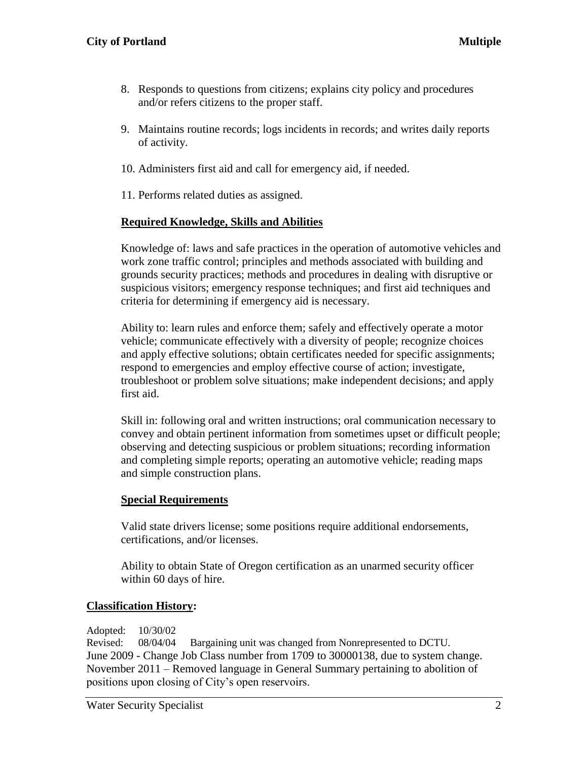- 8. Responds to questions from citizens; explains city policy and procedures and/or refers citizens to the proper staff.
- 9. Maintains routine records; logs incidents in records; and writes daily reports of activity.
- 10. Administers first aid and call for emergency aid, if needed.
- 11. Performs related duties as assigned.

### **Required Knowledge, Skills and Abilities**

Knowledge of: laws and safe practices in the operation of automotive vehicles and work zone traffic control; principles and methods associated with building and grounds security practices; methods and procedures in dealing with disruptive or suspicious visitors; emergency response techniques; and first aid techniques and criteria for determining if emergency aid is necessary.

Ability to: learn rules and enforce them; safely and effectively operate a motor vehicle; communicate effectively with a diversity of people; recognize choices and apply effective solutions; obtain certificates needed for specific assignments; respond to emergencies and employ effective course of action; investigate, troubleshoot or problem solve situations; make independent decisions; and apply first aid.

Skill in: following oral and written instructions; oral communication necessary to convey and obtain pertinent information from sometimes upset or difficult people; observing and detecting suspicious or problem situations; recording information and completing simple reports; operating an automotive vehicle; reading maps and simple construction plans.

#### **Special Requirements**

Valid state drivers license; some positions require additional endorsements, certifications, and/or licenses.

Ability to obtain State of Oregon certification as an unarmed security officer within 60 days of hire.

#### **Classification History:**

Adopted: 10/30/02

Revised: 08/04/04 Bargaining unit was changed from Nonrepresented to DCTU. June 2009 - Change Job Class number from 1709 to 30000138, due to system change. November 2011 – Removed language in General Summary pertaining to abolition of positions upon closing of City's open reservoirs.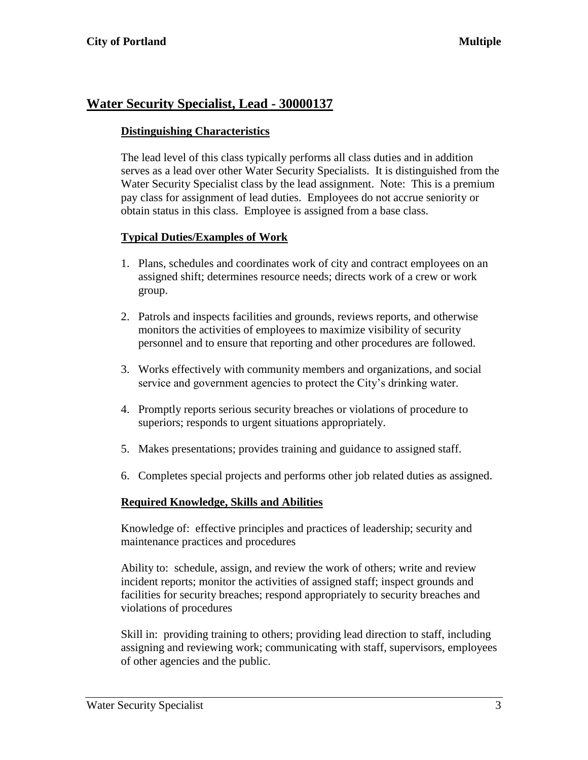## **Water Security Specialist, Lead - 30000137**

### **Distinguishing Characteristics**

The lead level of this class typically performs all class duties and in addition serves as a lead over other Water Security Specialists. It is distinguished from the Water Security Specialist class by the lead assignment. Note: This is a premium pay class for assignment of lead duties. Employees do not accrue seniority or obtain status in this class. Employee is assigned from a base class.

### **Typical Duties/Examples of Work**

- 1. Plans, schedules and coordinates work of city and contract employees on an assigned shift; determines resource needs; directs work of a crew or work group.
- 2. Patrols and inspects facilities and grounds, reviews reports, and otherwise monitors the activities of employees to maximize visibility of security personnel and to ensure that reporting and other procedures are followed.
- 3. Works effectively with community members and organizations, and social service and government agencies to protect the City's drinking water.
- 4. Promptly reports serious security breaches or violations of procedure to superiors; responds to urgent situations appropriately.
- 5. Makes presentations; provides training and guidance to assigned staff.
- 6. Completes special projects and performs other job related duties as assigned.

### **Required Knowledge, Skills and Abilities**

Knowledge of: effective principles and practices of leadership; security and maintenance practices and procedures

Ability to: schedule, assign, and review the work of others; write and review incident reports; monitor the activities of assigned staff; inspect grounds and facilities for security breaches; respond appropriately to security breaches and violations of procedures

Skill in: providing training to others; providing lead direction to staff, including assigning and reviewing work; communicating with staff, supervisors, employees of other agencies and the public.